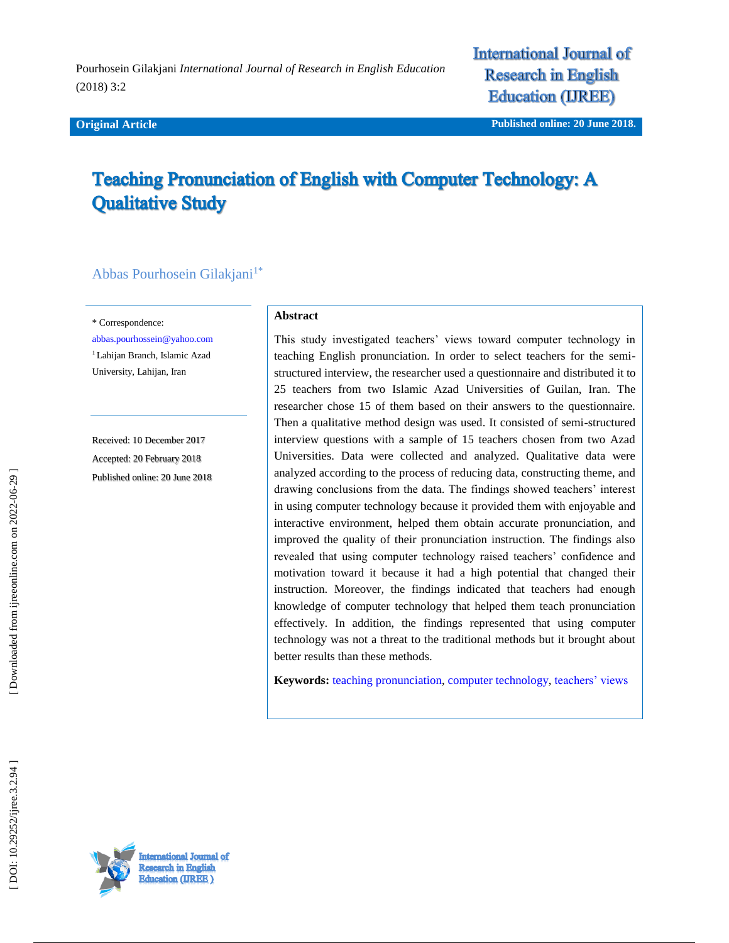#### **Original Article**

**International Journal of Research in English Education (IREE)** 

# **Teaching Pronunciation of English with Computer Technology: A Qualitative Study**

# Abbas Pourhosein Gilakjani<sup>1\*</sup>

\* Correspondence:

[abbas.pourhossein@yahoo.com](mailto:abbas.pourhossein@yahoo.com) <sup>1</sup> Lahijan Branch, Islamic Azad University, Lahijan, Iran

Received: 1 0 December 201 7 Accepted: 20 February 201 8 Published online : 20 June 2018

#### **Abstract**

This study investigated teachers' views toward computer technology in teaching English pronunciation. In order to select teachers for the semi structured interview, the researcher used a questionnaire and distributed it to 25 teachers from two Islamic Azad Universities of Guilan, Iran. The researcher chose 15 of them based on their answers to the questionnaire. Then a qualitative method design was used. It consisted of semi -structured interview questions with a sample of 15 teachers chosen from two Azad Universities. Data were collected and analyzed. Qualitative data were analyzed according to the process of reducing data, constructing theme, and drawing conclusions from the data. The findings showed teachers' interest in using computer technology because it provided them with enjoyable and interactive environment, helped them obtain accurate pronunciation, and improved the quality of their pronunciation instruction. The findings also revealed that using computer technology raised teachers' confidence and motivation toward it because it had a high potential that changed their instruction. Moreover, the findings indicated that teachers had enough knowledge of computer technology that helped them teach pronunciation effectively. In addition, the findings represented that using computer technology was not a threat to the traditional methods but it brought about better results than these methods.

**Keywords:** [teaching pronunciation,](http://ijreeonline.com/search.php?sid=1&slc_lang=en&key=teaching+pronunciation) [computer technology,](http://ijreeonline.com/search.php?sid=1&slc_lang=en&key=computer+technology) [teachers' views](http://ijreeonline.com/search.php?sid=1&slc_lang=en&key=teachers%E2%80%99+views)

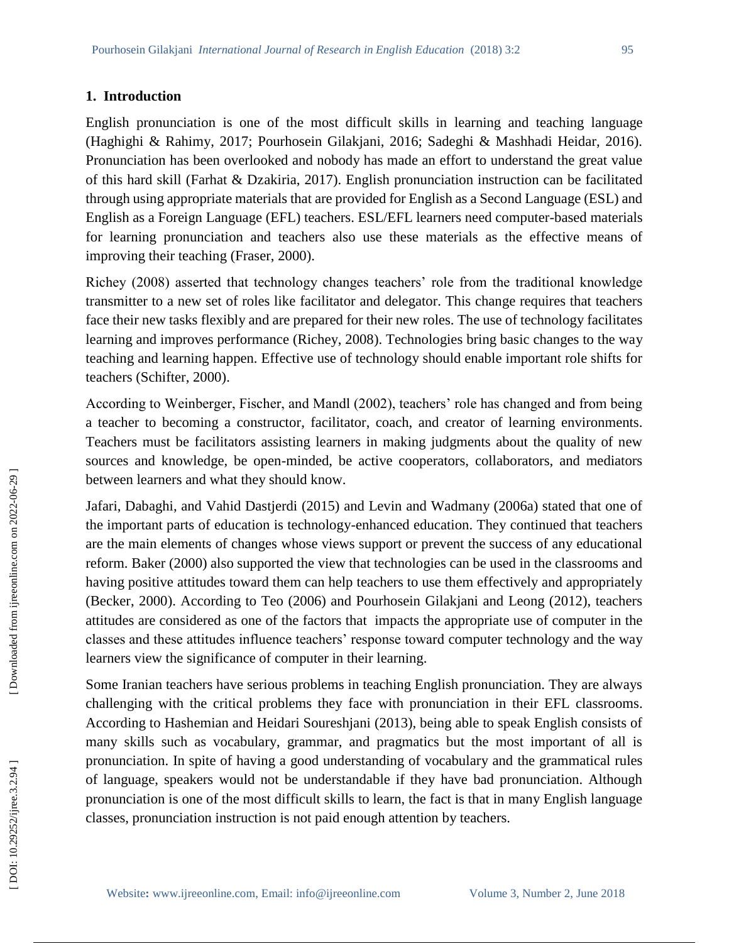### **1. Introduction**

English pronunciation is one of the most difficult skills in learning and teaching language (Haghighi & Rahimy, 2017; Pourhosein Gilakjani, 2016; Sadeghi & Mashhadi Heidar, 2016). Pronunciation has been overlooked and nobody has made an effort to understand the great value of this hard skill (Farhat & Dzakiria, 2017). English pronunciation instruction can be facilitated through using appropriate materials that are provided for English as a Second Language (ESL) and English as a Foreign Language (EFL) teachers. ESL/EFL learners need computer -based materials for learning pronunciation and teachers also use these materials as the effective means of improving their teaching (Fraser, 2000).

Richey (2008) asserted that technology changes teachers' role from the traditional knowledge transmitter to a new set of roles like facilitator and delegator. This change requires that teachers face their new tasks flexibly and are prepared for their new roles. The use of technology facilitates learning and improves performance (Richey, 2008). Technologies bring basic changes to the way teaching and learning happen. Effective use of technology should enable important role shifts for teachers (Schifter, 2000).

According to Weinberger, Fischer, and Mandl (2002), teachers' role has changed and from being a teacher to becoming a constructor, facilitator, coach, and creator of learning environments. Teachers must be facilitators assisting learners in making judgments about the quality of new sources and knowledge, be open -minded, be active cooperators, collaborators, and mediators between learners and what they should know.

Jafari, Dabaghi, and Vahid Dastjerdi (2015) and Levin and Wadmany (2006a) stated that one of the important parts of education is technology -enhanced education. They continued that teachers are the main elements of changes whose views support or prevent the success of any educational reform. Baker (2000) also supported the view that technologies can be used in the classrooms and having positive attitudes toward them can help teachers to use them effectively and appropriately (Becker, 2000). According to Teo (2006) and Pourhosein Gilakjani and Leong (2012), teachers attitudes are considered as one of the factors that impacts the appropriate use of computer in the classes and these attitudes influence teachers' response toward computer technology and the way learners view the significance of computer in their learning.

Some Iranian teachers have serious problems in teaching English pronunciation. They are always challenging with the critical problems they face with pronunciation in their EFL classrooms. According to Hashemian and Heidari Soureshjani (2013), being able to speak English consists of many skills such as vocabulary, grammar, and pragmatics but the most important of all is pronunciation. In spite of having a good understanding of vocabulary and the grammatical rules of language, speakers would not be understandable if they have bad pronunciation. Although pronunciation is one of the most difficult skills to learn, the fact is that in many English language classes, pronunciation instruction is not paid enough attention by teachers.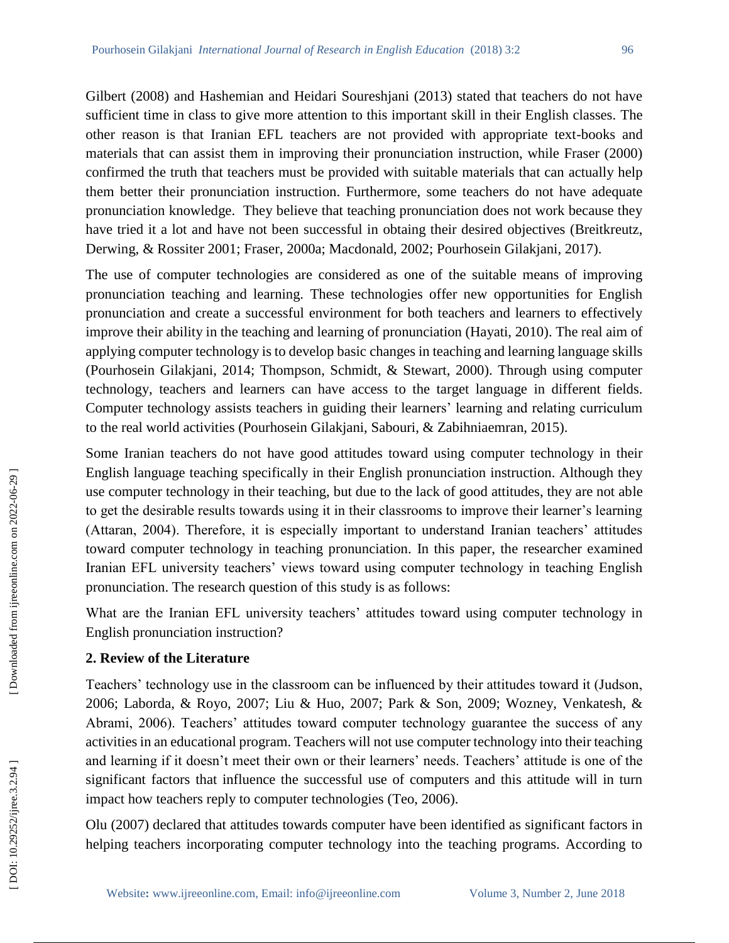Gilbert (2008) and Hashemian and Heidari Soureshjani (2013) stated that teachers do not have sufficient time in class to give more attention to this important skill in their English classes. The other reason is that Iranian EFL teachers are not provided with appropriate text -books and materials that can assist them in improving their pronunciation instruction, while Fraser (2000) confirmed the truth that teachers must be provided with suitable materials that can actually help them better their pronunciation instruction. Furthermore, some teachers do not have adequate pronunciation knowledge. They believe that teaching pronunciation does not work because they have tried it a lot and have not been successful in obtaing their desired objectives (Breitkreutz, Derwing, & Rossiter 2001; Fraser, 2000a; Macdonald, 2002; Pourhosein Gilakjani, 2017).

The use of computer technologies are considered as one of the suitable means of improving pronunciation teaching and learning. These technologies offer new opportunities for English pronunciation and create a successful environment for both teachers and learners to effectively improve their ability in the teaching and learning of pronunciation (Hayati, 2010) . The real aim of applying computer technology is to develop basic changes in teaching and learning language skills (Pourhosein Gilakjani, 2014; Thompson, Schmidt, & Stewart, 2000). Through using computer technology, teachers and learners can have access to the target language in different fields. Computer technology assists teachers in guiding their learners' learning and relating curriculum to the real world activities (Pourhosein Gilakjani, Sabouri, & Zabihniaemran, 2015).

Some Iranian teachers do not have good attitudes toward using computer technology in their English language teaching specifically in their English pronunciation instruction. Although they use computer technology in their teaching, but due to the lack of good attitudes, they are not able to get the desirable results towards using it in their classrooms to improve their learner's learning (Attaran, 2004). Therefore, it is especially important to understand Iranian teachers' attitudes toward computer technology in teaching pronunciation. In this paper, the researcher examined Iranian EFL university teachers' views toward using computer technology in teaching English pronunciation. The research question of this study is as follows:

What are the Iranian EFL university teachers' attitudes toward using computer technology in English pronunciation instruction?

# **2. Review of the Literature**

Teachers' technology use in the classroom can be influenced by their attitudes toward it (Judson, 2006; Laborda, & Royo, 2007; Liu & Huo, 2007; Park & Son, 2009; Wozney, Venkatesh, & Abrami, 2006). Teachers' attitudes toward computer technology guarantee the success of any activities in an educational program. Teachers will not use computer technology into their teaching and learning if it doesn't meet their own or their learners' needs. Teachers' attitude is one of the significant factors that influence the successful use of computers and this attitude will in turn impact how teachers reply to computer technologies (Teo, 2006).

Olu (2007) declared that attitudes towards computer have been identified as significant factors in helping teachers incorporating computer technology into the teaching programs. According to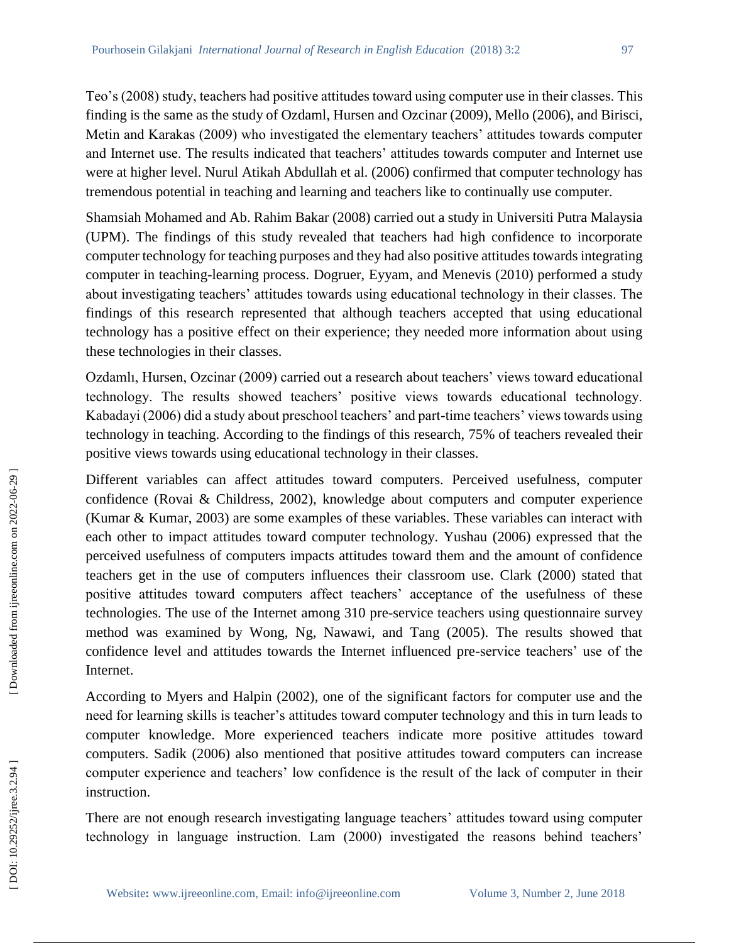Teo's (2008) study, teachers had positive attitudes toward using computer use in their classes. This finding is the same as the study of Ozdaml, Hursen and Ozcinar (2009), Mello (2006), and Birisci, Metin and Karakas (2009) who investigated the elementary teachers' attitudes towards computer and Internet use. The results indicated that teachers' attitudes towards computer and Internet use were at higher level. Nurul Atikah Abdullah et al. (2006) confirmed that computer technology has tremendous potential in teaching and learning and teachers like to continually use computer.

Shamsiah Mohamed and Ab. Rahim Bakar (2008) carried out a study in Universiti Putra Malaysia (UPM). The findings of this study revealed that teachers had high confidence to incorporate computer technology for teaching purposes and they had also positive attitudes towards integrating computer in teaching -learning process. Dogruer, Eyyam , and Menevis (2010) performed a study about investigating teachers' attitudes towards using educational technology in their classes. The findings of this research represented that although teachers accepted that using educational technology has a positive effect on their experience; they needed more information about using these technologies in their classes.

Ozdamlı, Hursen, Ozcinar (2009) carried out a research about teachers' views toward educational technology. The results showed teachers' positive views towards educational technology. Kabadayi (2006) did a study about preschool teachers' and part -time teachers' views towards using technology in teaching. According to the findings of this research, 75% of teachers revealed their positive views towards using educational technology in their classes.

Different variables can affect attitudes toward computers. Perceived usefulness, computer confidence (Rovai & Childress, 2002), knowledge about computers and computer experience (Kumar & Kumar, 2003) are some examples of these variables. These variables can interact with each other to impact attitudes toward computer technology. Yushau (2006) expressed that the perceived usefulness of computers impacts attitudes toward them and the amount of confidence teachers get in the use of computers influences their classroom use. Clark (2000) stated that positive attitudes toward computers affect teachers' acceptance of the usefulness of these technologies. The use of the Internet among 310 pre -service teachers using questionnaire survey method was examined by Wong, Ng, Nawawi, and Tang (2005). The results showed that confidence level and attitudes towards the Internet influenced pre -service teachers' use of the Internet.

According to Myers and Halpin (2002), one of the significant factors for computer use and the need for learning skills is teacher's attitudes toward computer technology and this in turn leads to computer knowledge. More experienced teachers indicate more positive attitudes toward computers. Sadik (2006) also mentioned that positive attitudes toward computers can increase computer experience and teachers' low confidence is the result of the lack of computer in their instruction.

There are not enough research investigating language teachers' attitudes toward using computer technology in language instruction. Lam (2000) investigated the reasons behind teachers'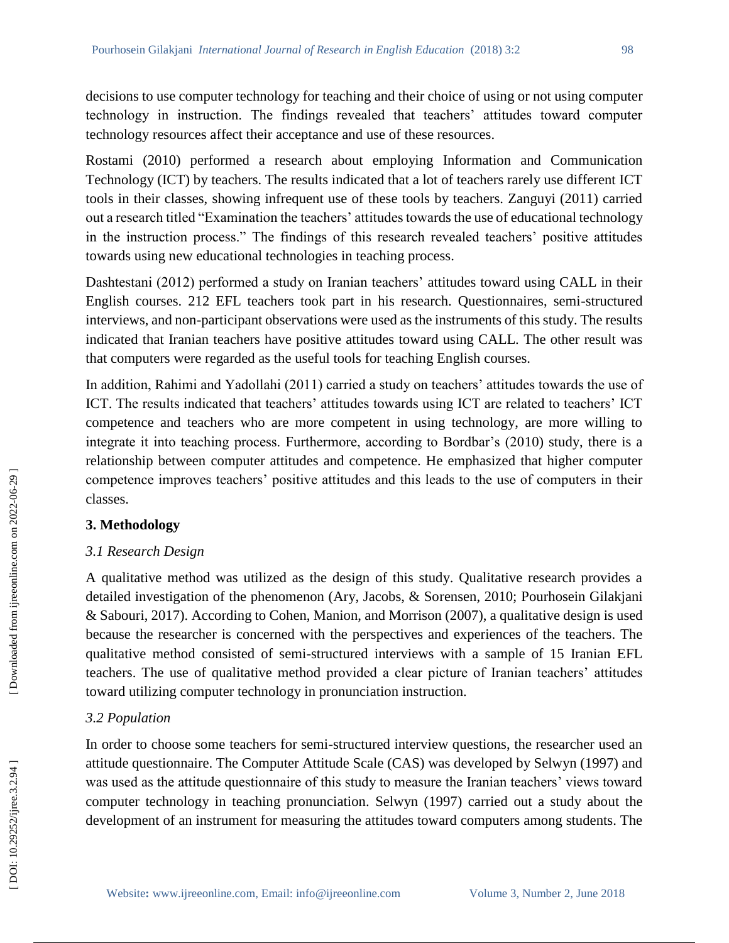decisions to use computer technology for teaching and their choice of using or not using computer technology in instruction. The findings revealed that teachers' attitudes toward computer technology resources affect their acceptance and use of these resources.

Rostami (2010) performed a research about employing Information and Communication Technology (ICT) by teachers. The results indicated that a lot of teachers rarely use different ICT tools in their classes, showing infrequent use of these tools by teachers. Zanguyi (2011) carried out a research titled "Examination the teachers' attitudes towards the use of educational technology in the instruction process." The findings of this research revealed teachers' positive attitudes towards using new educational technologies in teaching process.

Dashtestani (2012) performed a study on Iranian teachers' attitudes toward using CALL in their English courses. 212 EFL teachers took part in his research. Questionnaires, semi -structured interviews, and non -participant observations were used as the instruments of this study. The results indicated that Iranian teachers have positive attitudes toward using CALL. The other result was that computers were regarded as the useful tools for teaching English courses.

In addition, Rahimi and Yadollahi (2011) carried a study on teachers' attitudes towards the use of ICT. The results indicated that teachers' attitudes towards using ICT are related to teachers' ICT competence and teachers who are more competent in using technology, are more willing to integrate it into teaching process. Furthermore, according to Bordbar's (2010) study, there is a relationship between computer attitudes and competence. He emphasized that higher computer competence improves teachers' positive attitudes and this leads to the use of computers in their classes.

# **3. Methodology**

# *3.1 Research Design*

A qualitative method was utilized as the design of this study. Qualitative research provides a detailed investigation of the phenomenon (Ary, Jacobs, & Sorensen, 2010; Pourhosein Gilakjani & Sabouri, 2017). According to Cohen, Manion, and Morrison (2007), a qualitative design is used because the researcher is concerned with the perspectives and experiences of the teachers. The qualitative method consisted of semi -structured interviews with a sample of 15 Iranian EFL teachers. The use of qualitative method provided a clear picture of Iranian teachers' attitudes toward utilizing computer technology in pronunciation instruction.

# *3.2 Population*

In order to choose some teachers for semi -structured interview questions, the researcher used an attitude questionnaire. The Computer Attitude Scale (CAS) was developed by Selwyn (1997) and was used as the attitude questionnaire of this study to measure the Iranian teachers' views toward computer technology in teaching pronunciation. Selwyn (1997) carried out a study about the development of an instrument for measuring the attitudes toward computers among students. The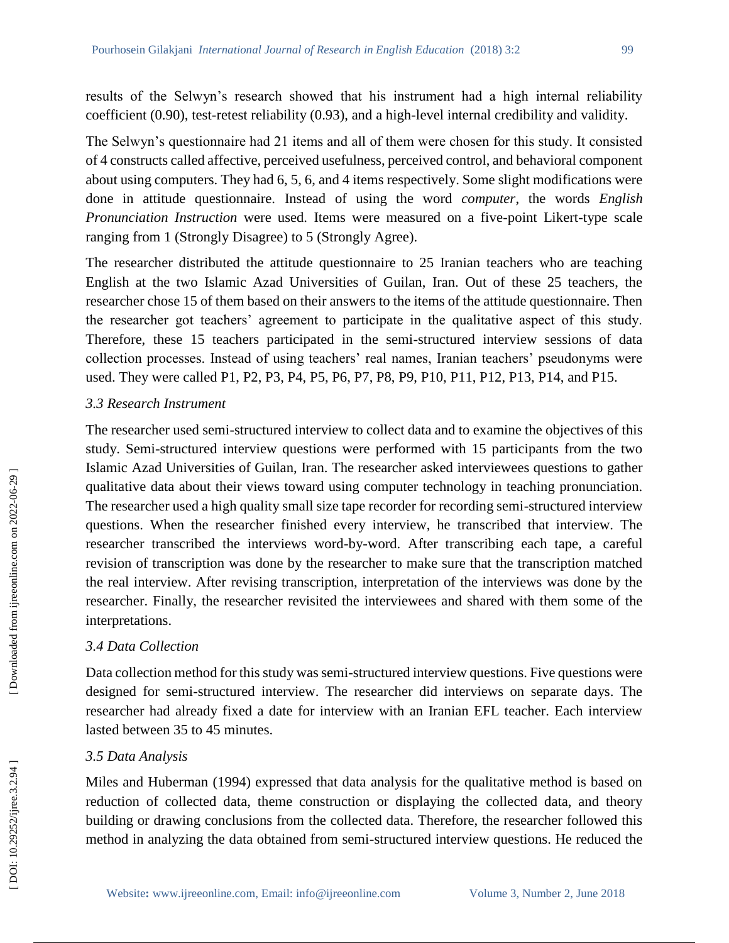results of the Selwyn's research showed that his instrument had a high internal reliability coefficient (0.90), test-retest reliability (0.93), and a high-level internal credibility and validity.

The Selwyn's questionnaire had 21 items and all of them were chosen for this study. It consisted of 4 constructs called affective, perceived usefulness, perceived control, and behavioral component about using computers. They had 6, 5, 6, and 4 items respectively. Some slight modifications were done in attitude questionnaire. Instead of using the word *computer*, the words *English*  Pronunciation Instruction were used. Items were measured on a five-point Likert-type scale ranging from 1 (Strongly Disagree) to 5 (Strongly Agree).

The researcher distributed the attitude questionnaire to 25 Iranian teachers who are teaching English at the two Islamic Azad Universities of Guilan, Iran. Out of these 25 teachers, the researcher chose 15 of them based on their answers to the items of the attitude questionnaire. Then the researcher got teachers' agreement to participate in the qualitative aspect of this study. Therefore, these 15 teachers participated in the semi -structured interview sessions of data collection processes. Instead of using teachers' real names, Iranian teachers' pseudonyms were used. They were called P1, P2, P3, P4, P5, P6, P7, P8, P9, P10, P11, P12, P13, P14, and P15.

## *3.3 Research Instrument*

The researcher used semi -structured interview to collect data and to examine the objectives of this study. Semi -structured interview questions were performed with 15 participants from the two Islamic Azad Universities of Guilan, Iran. The researcher asked interviewees questions to gather qualitative data about their views toward using computer technology in teaching pronunciation. The researcher used a high quality small size tape recorder for recording semi -structured interview questions. When the researcher finished every interview, he transcribed that interview. The researcher transcribed the interviews word -by -word. After transcribing each tape, a careful revision of transcription was done by the researcher to make sure that the transcription matched the real interview. After revising transcription, interpretation of the interviews was done by the researcher. Finally, the researcher revisited the interviewees and shared with them some of the interpretations.

#### *3.4 Data Collection*

Data collection method for this study was semi - structured interview questions. Five questions were designed for semi -structured interview. The researcher did interviews on separate days. The researcher had already fixed a date for interview with an Iranian EFL teacher. Each interview lasted between 35 to 45 minutes.

#### *3.5 Data Analysis*

Miles and Huberman (1994) expressed that data analysis for the qualitative method is based on reduction of collected data, theme construction or displaying the collected data, and theory building or drawing conclusions from the collected data. Therefore, the researcher followed this method in analyzing the data obtained from semi -structured interview questions. He reduced the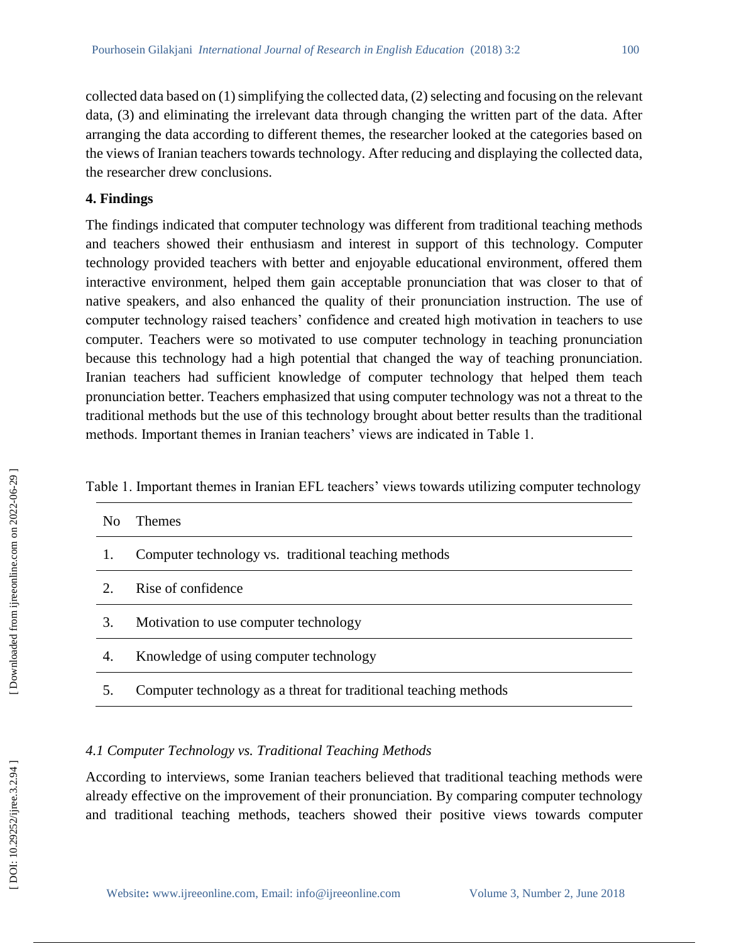collected data based on (1) simplifying the collected data, (2) selecting and focusing on the relevant data, (3) and eliminating the irrelevant data through changing the written part of the data. After arranging the data according to different themes, the researcher looked at the categories based on the views of Iranian teachers towards technology. After reducing and displaying the collected data, the researcher drew conclusions.

# **4. Findings**

The findings indicated that computer technology was different from traditional teaching methods and teachers showed their enthusiasm and interest in support of this technology. Computer technology provided teachers with better and enjoyable educational environment, offered them interactive environment, helped them gain acceptable pronunciation that was closer to that of native speakers, and also enhanced the quality of their pronunciation instruction. The use of computer technology raised teachers' confidence and created high motivation in teachers to use computer. Teachers were so motivated to use computer technology in teaching pronunciation because this technology had a high potential that changed the way of teaching pronunciation. Iranian teachers had sufficient knowledge of computer technology that helped them teach pronunciation better. Teachers emphasized that using computer technology was not a threat to the traditional methods but the use of this technology brought about better results than the traditional methods. Important themes in Iranian teachers' views are indicated in Table 1.

|  |  |  |  |  | Table 1. Important themes in Iranian EFL teachers' views towards utilizing computer technology |  |
|--|--|--|--|--|------------------------------------------------------------------------------------------------|--|
|  |  |  |  |  |                                                                                                |  |

| N <sub>0</sub>              | <b>Themes</b>                                                    |
|-----------------------------|------------------------------------------------------------------|
|                             | Computer technology vs. traditional teaching methods             |
| $\mathcal{D}_{\mathcal{L}}$ | Rise of confidence                                               |
| 3.                          | Motivation to use computer technology                            |
| 4.                          | Knowledge of using computer technology                           |
|                             | Computer technology as a threat for traditional teaching methods |

# *4.1 Computer Technology vs. Traditional Teaching Methods*

According to interviews, some Iranian teachers believed that traditional teaching methods were already effective on the improvement of their pronunciation. By comparing computer technology and traditional teaching methods, teachers showed their positive views towards computer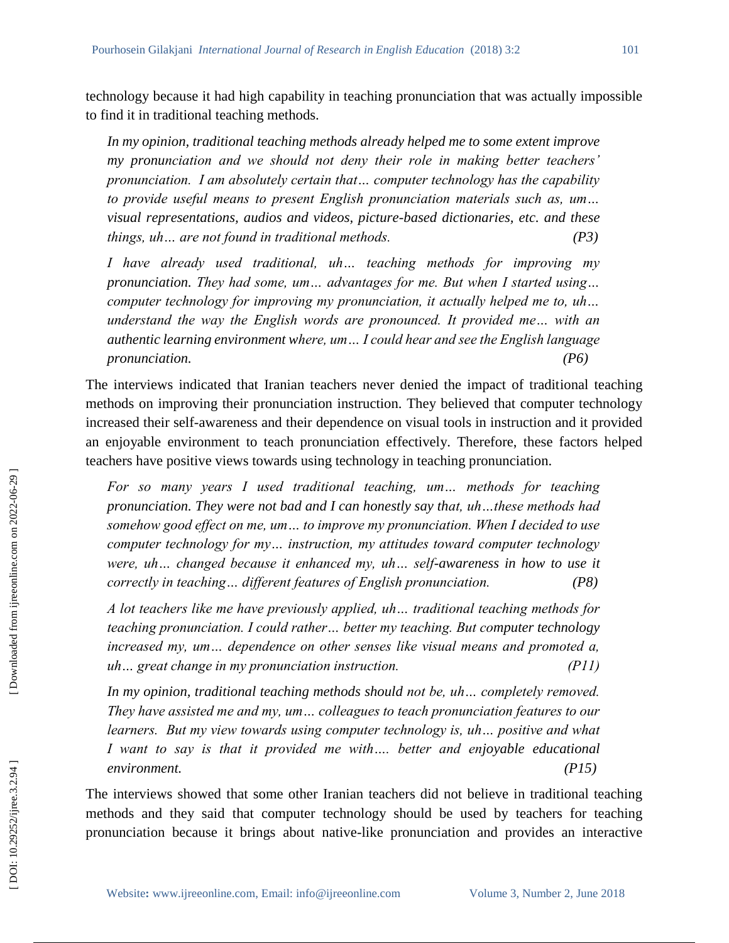technology because it had high capability in teaching pronunciation that was actually impossible to find it in traditional teaching methods.

*In my opinion, traditional teaching methods already helped me to some extent improve my pronunciation and we should not deny their role in making better teachers' pronunciation. I am absolutely certain that… computer technology has the capability to provide useful means to present English pronunciation materials such as, um… visual representations, audios and videos, picture -based dictionaries, etc. and these things, uh… are not found in traditional methods. (P3)* 

*I have already used traditional, uh… teaching methods for improving my pronunciation. They had some, um… advantages for me. But when I started using… computer technology for improving my pronunciation, it actually helped me to, uh… understand the way the English words are pronounced. It provided me... with an authentic learning environment where, um… I could hear and see the English language pronunciation. (P6)* 

The interviews indicated that Iranian teachers never denied the impact of traditional teaching methods on improving their pronunciation instruction. They believed that computer technology increased their self-awareness and their dependence on visual tools in instruction and it provided an enjoyable environment to teach pronunciation effectively. Therefore, these factors helped teachers have positive views towards using technology in teaching pronunciation.

*For so many years I used traditional teaching, um… methods for teaching pronunciation. They were not bad and I can honestly say that, uh…these methods had somehow good effect on me, um… to improve my pronunciation. When I decided to use computer technology for my… instruction, my attitudes toward computer technology were, uh… changed because it enhanced my, uh… self-awareness in how to use it correctly in teaching… different features of English pronunciation. (P8)*

*A lot teachers like me have previously applied, uh… traditional teaching methods for teaching pronunciation. I could rather… better my teaching. But computer technology increased my, um… dependence on other senses like visual means and promoted a, uh… great change in my pronunciation instruction. (P11)* 

In my opinion, traditional teaching methods should not be, uh... completely removed. *They have assisted me and my, um… colleagues to teach pronunciation features to our learners. But my view towards using computer technology is, uh… positive and what I* want to say is that it provided me with.... better and enjoyable educational *environment. (P15)* 

The interviews showed that some other Iranian teachers did not believe in traditional teaching methods and they said that computer technology should be used by teachers for teaching pronunciation because it brings about native -like pronunciation and provides an interactive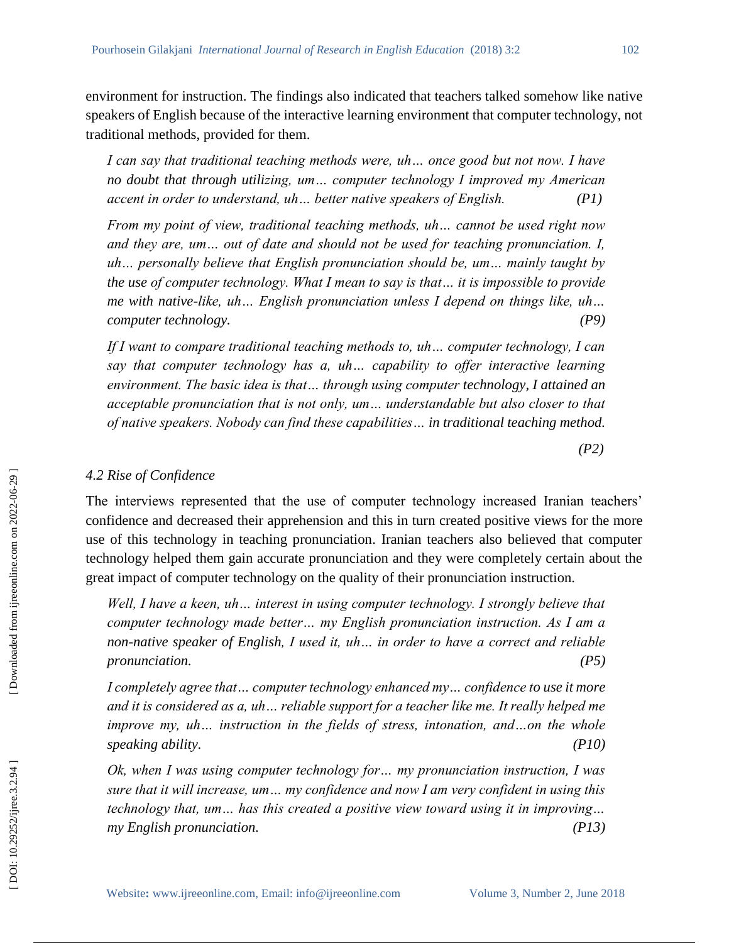environment for instruction. The findings also indicated that teachers talked somehow like native speakers of English because of the interactive learning environment that computer technology, not traditional methods, provided for them.

*I can say that traditional teaching methods were, uh... once good but not now. I have no doubt that through utilizing, um… computer technology I improved my American accent in order to understand, uh… better native speakers of English. (P1)* 

*From my point of view, traditional teaching methods, uh… cannot be used right now*  and they are, um... out of date and should not be used for teaching pronunciation. I, *uh… personally believe that English pronunciation should be, um… mainly taught by the use of computer technology. What I mean to say is that… it is impossible to provide*  me with native-like, uh... English pronunciation unless I depend on things like, uh... *computer technology. (P9)* 

*If I want to compare traditional teaching methods to, uh… computer technology, I can say that computer technology has a, uh… capability to offer interactive learning environment. The basic idea is that… through using computer technology, I attained an acceptable pronunciation that is not only, um… understandable but also closer to that of native speakers. Nobody can find these capabilities… in traditional teaching method .*

*(P2)* 

#### *4.2 Rise of Confidence*

The interviews represented that the use of computer technology increased Iranian teachers' confidence and decreased their apprehension and this in turn created positive views for the more use of this technology in teaching pronunciation. Iranian teachers also believed that computer technology helped them gain accurate pronunciation and they were completely certain about the great impact of computer technology on the quality of their pronunciation instruction.

*Well, I have a keen, uh... interest in using computer technology. I strongly believe that computer technology made better… my English pronunciation instruction. As I am a non -native speaker of English, I used it, uh… in order to have a correct and reliable pronunciation. (P5)* 

*I* completely agree that ... computer technology enhanced my ... confidence to use it more *and it is considered as a, uh… reliable support for a teacher like me. It really helped me improve my, uh... instruction in the fields of stress, intonation, and...on the whole speaking ability. (P10)* 

*Ok, when I was using computer technology for… my pronunciation instruction, I was sure that it will increase, um… my confidence and now I am very confident in using this technology that, um… has this created a positive view toward using it in improving… my English pronunciation. (P13)*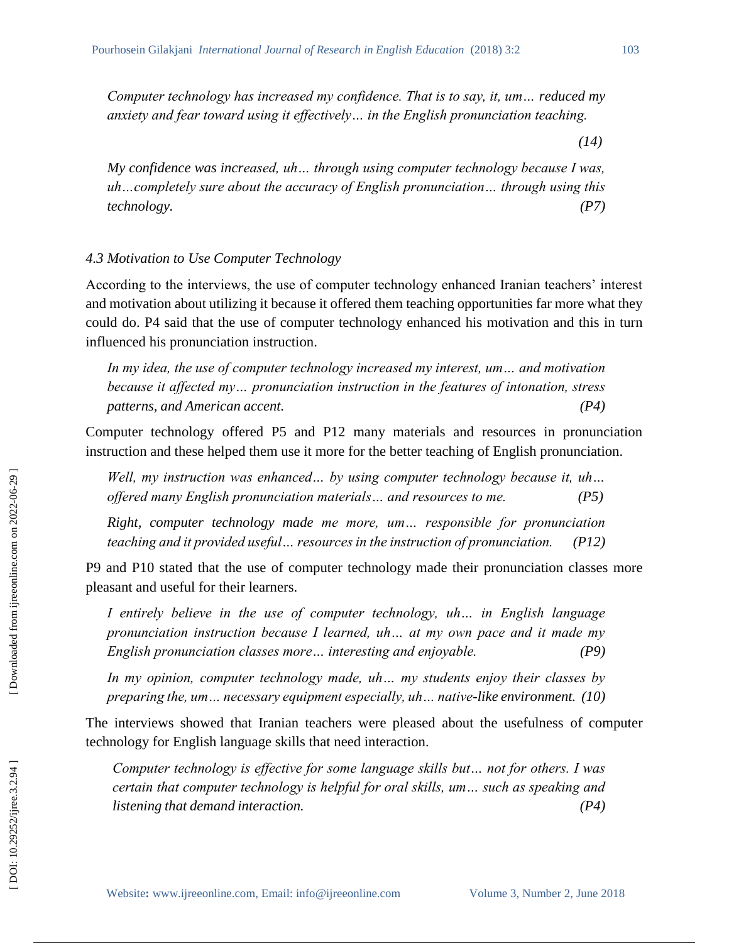*Computer technology has increased my confidence. That is to say, it, um… reduced my anxiety and fear toward using it effectively… in the English pronunciation teaching.*

*(14)* 

*My confidence was increased, uh… through using computer technology because I was, uh…completely sure about the accuracy of English pronunciation… through using this technology. (P7)* 

#### *4.3 Motivation to Use Computer Technology*

According to the interviews, the use of computer technology enhanced Iranian teachers' interest and motivation about utilizing it because it offered them teaching opportunities far more what they could do. P4 said that the use of computer technology enhanced his motivation and this in turn influenced his pronunciation instruction.

*In my idea, the use of computer technology increased my interest, um… and motivation because it affected my… pronunciation instruction in the features of intonation, stress patterns, and American accent. (P4)*

Computer technology offered P5 and P12 many materials and resources in pronunciation instruction and these helped them use it more for the better teaching of English pronunciation.

*Well, my instruction was enhanced… by using computer technology because it, uh… offered many English pronunciation materials… and resources to me. (P5)* 

*Right, computer technology made me more, um… responsible for pronunciation teaching and it provided useful… resources in the instruction of pronunciation. (P12)* 

P9 and P10 stated that the use of computer technology made their pronunciation classes more pleasant and useful for their learners.

*I entirely believe in the use of computer technology, uh… in English language pronunciation instruction because I learned, uh… at my own pace and it made my English pronunciation classes more… interesting and enjoyable. (P9)* 

*In my opinion, computer technology made, uh… my students enjoy their classes by preparing the, um… necessary equipment especially, uh… native -like environment. (10)* 

The interviews showed that Iranian teachers were pleased about the usefulness of computer technology for English language skills that need interaction.

*Computer technology is effective for some language skills but… not for others. I was certain that computer technology is helpful for oral skills, um… such as speaking and listening that demand interaction. (P4)*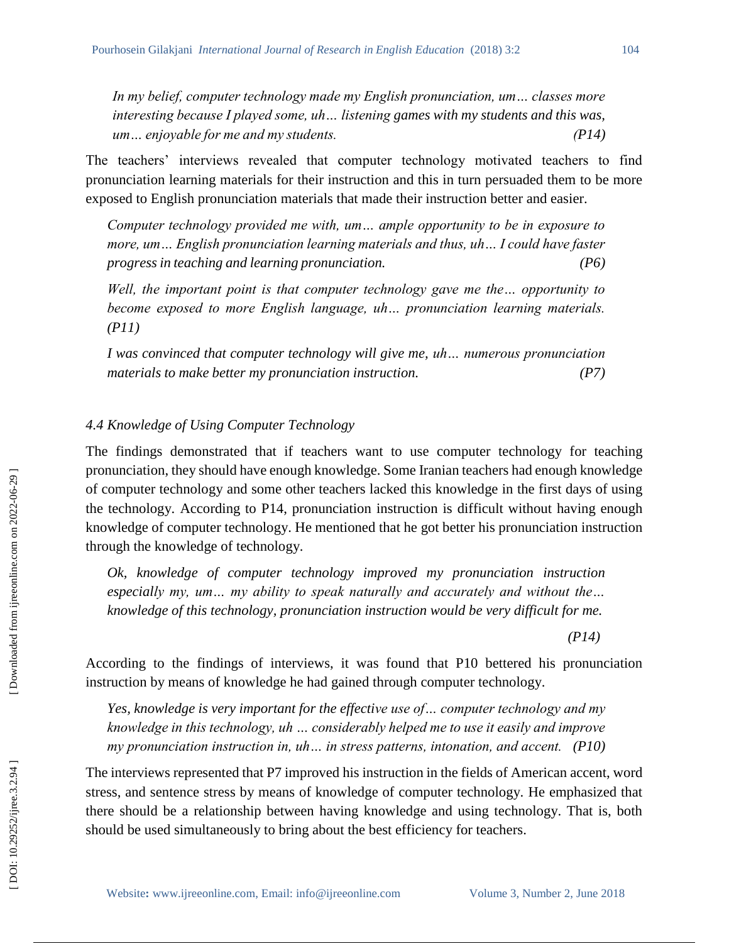*In my belief, computer technology made my English pronunciation, um… classes more interesting because I played some, uh… listening games with my students and this was, um… enjoyable for me and my students. (P14)*

The teachers' interviews revealed that computer technology motivated teachers to find pronunciation learning materials for their instruction and this in turn persuaded them to be more exposed to English pronunciation materials that made their instruction better and easier.

*Computer technology provided me with, um… ample opportunity to be in exposure to more, um… English pronunciation learning materials and thus, uh… I could have faster progress in teaching and learning pronunciation. (P6)* 

*Well, the important point is that computer technology gave me the... opportunity to become exposed to more English language, uh… pronunciation learning materials. (P11)* 

*I was convinced that computer technology will give me, uh… numerous pronunciation materials to make better my pronunciation instruction. (P7)* 

### *4.4 Knowledge of Using Computer Technology*

The findings demonstrated that if teachers want to use computer technology for teaching pronunciation, they should have enough knowledge. Some Iranian teachers had enough knowledge of computer technology and some other teachers lacked this knowledge in the first days of using the technology. According to P14, pronunciation instruction is difficult without having enough knowledge of computer technology. He mentioned that he got better his pronunciation instruction through the knowledge of technology.

*Ok, knowledge of computer technology improved my pronunciation instruction especially my, um… my ability to speak naturally and accurately and without the… knowledge of this technology, pronunciation instruction would be very difficult for me.*

*(P14)*

According to the findings of interviews, it was found that P10 bettered his pronunciation instruction by means of knowledge he had gained through computer technology.

*Yes, knowledge is very important for the effective use of… computer technology and my knowledge in this technology, uh … considerably helped me to use it easily and improve my pronunciation instruction in, uh… in stress patterns, intonation, and accent. (P10)*

The interviews represented that P7 improved his instruction in the fields of American accent, word stress, and sentence stress by means of knowledge of computer technology. He emphasized that there should be a relationship between having knowledge and using technology. That is, both should be used simultaneously to bring about the best efficiency for teachers.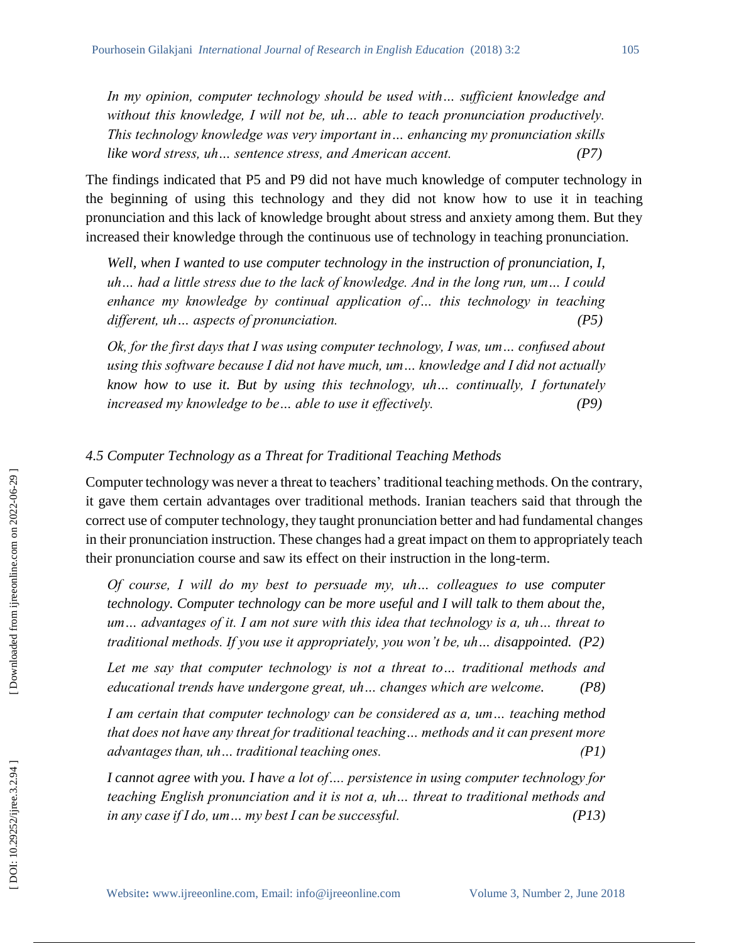*In my opinion, computer technology should be used with… sufficient knowledge and without this knowledge, I will not be, uh… able to teach pronunciation productively. This technology knowledge was very important in… enhancing my pronunciation skills like word stress, uh… sentence stress, and American accent. (P7)*

The findings indicated that P5 and P9 did not have much knowledge of computer technology in the beginning of using this technology and they did not know how to use it in teaching pronunciation and this lack of knowledge brought about stress and anxiety among them. But they increased their knowledge through the continuous use of technology in teaching pronunciation.

Well, when I wanted to use computer technology in the instruction of pronunciation, I, *uh… had a little stress due to the lack of knowledge. And in the long run, um… I could enhance my knowledge by continual application of… this technology in teaching different, uh… aspects of pronunciation. (P5)*

*Ok, for the first days that I was using computer technology, I was, um… confused about using this software because I did not have much, um… knowledge and I did not actually know how to use it. But by using this technology, uh… continually, I fortunately increased my knowledge to be… able to use it effectively. (P9)*

### *4.5 Computer Technology as a Threat for Traditional Teaching Methods*

Computer technology was never a threat to teachers' traditional teaching methods. On the contrary, it gave them certain advantages over traditional methods. Iranian teachers said that through the correct use of computer technology, they taught pronunciation better and had fundamental changes in their pronunciation instruction. These changes had a great impact on them to appropriately teach their pronunciation course and saw its effect on their instruction in the long -term.

*Of course, I will do my best to persuade my, uh... colleagues to use computer technology. Computer technology can be more useful and I will talk to them about the, um… advantages of it. I am not sure with this idea that technology is a, uh… threat to traditional methods. If you use it appropriately, you won't be, uh… disappointed. (P2)* 

Let me say that computer technology is not a threat to... traditional methods and *educational trends have undergone great, uh… changes which are welcome. (P8)* 

*I am certain that computer technology can be considered as a, um… teaching method that does not have any threat for traditional teaching… methods and it can present more advantages than, uh… traditional teaching ones. (P1)* 

*I cannot agree with you. I have a lot of…. persistence in using computer technology for teaching English pronunciation and it is not a, uh… threat to traditional methods and in any case if I do, um… my best I can be successful. (P13)*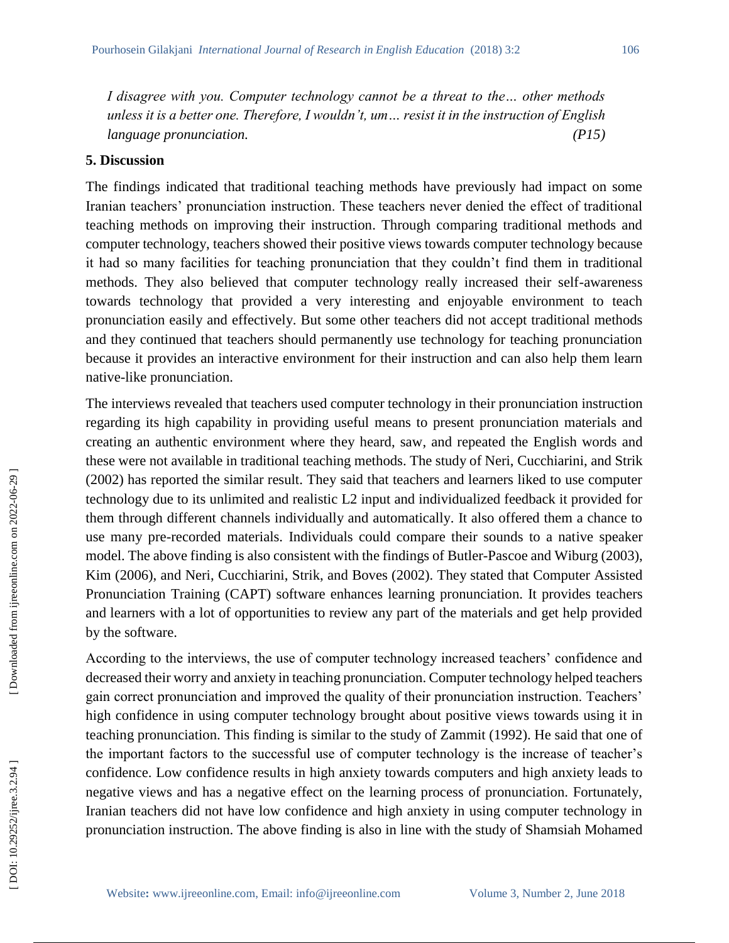*I disagree with you. Computer technology cannot be a threat to the… other methods unless it is a better one. Therefore, I wouldn't, um… resist it in the instruction of English language pronunciation. (P15)* 

### **5. Discussion**

The findings indicated that traditional teaching methods have previously had impact on some Iranian teachers' pronunciation instruction. These teachers never denied the effect of traditional teaching methods on improving their instruction. Through comparing traditional methods and computer technology, teachers showed their positive views towards computer technology because it had so many facilities for teaching pronunciation that they couldn't find them in traditional methods. They also believed that computer technology really increased their self -awareness towards technology that provided a very interesting and enjoyable environment to teach pronunciation easily and effectively. But some other teachers did not accept traditional methods and they continued that teachers should permanently use technology for teaching pronunciation because it provides an interactive environment for their instruction and can also help them learn native -like pronunciation.

The interviews revealed that teachers used computer technology in their pronunciation instruction regarding its high capability in providing useful means to present pronunciation materials and creating an authentic environment where they heard, saw, and repeated the English words and these were not available in traditional teaching methods. The study of Neri, Cucchiarini, and Strik (2002) has reported the similar result. They said that teachers and learners liked to use computer technology due to its unlimited and realistic L2 input and individualized feedback it provided for them through different channels individually and automatically. It also offered them a chance to use many pre -recorded materials. Individuals could compare their sounds to a native speaker model. The above finding is also consistent with the findings of Butler -Pascoe and Wiburg (2003), Kim (2006), and Neri, Cucchiarini, Strik, and Boves (2002). They stated that Computer Assisted Pronunciation Training (CAPT) software enhances learning pronunciation. It provides teachers and learners with a lot of opportunities to review any part of the materials and get help provided by the software.

According to the interviews, the use of computer technology increased teachers' confidence and decreased their worry and anxiety in teaching pronunciation. Computer technology helped teachers gain correct pronunciation and improved the quality of their pronunciation instruction. Teachers' high confidence in using computer technology brought about positive views towards using it in teaching pronunciation. This finding is similar to the study of Zammit (1992). He said that one of the important factors to the successful use of computer technology is the increase of teacher's confidence. Low confidence results in high anxiety towards computers and high anxiety leads to negative views and has a negative effect on the learning process of pronunciation. Fortunately, Iranian teachers did not have low confidence and high anxiety in using computer technology in pronunciation instruction. The above finding is also in line with the study of Shamsiah Mohamed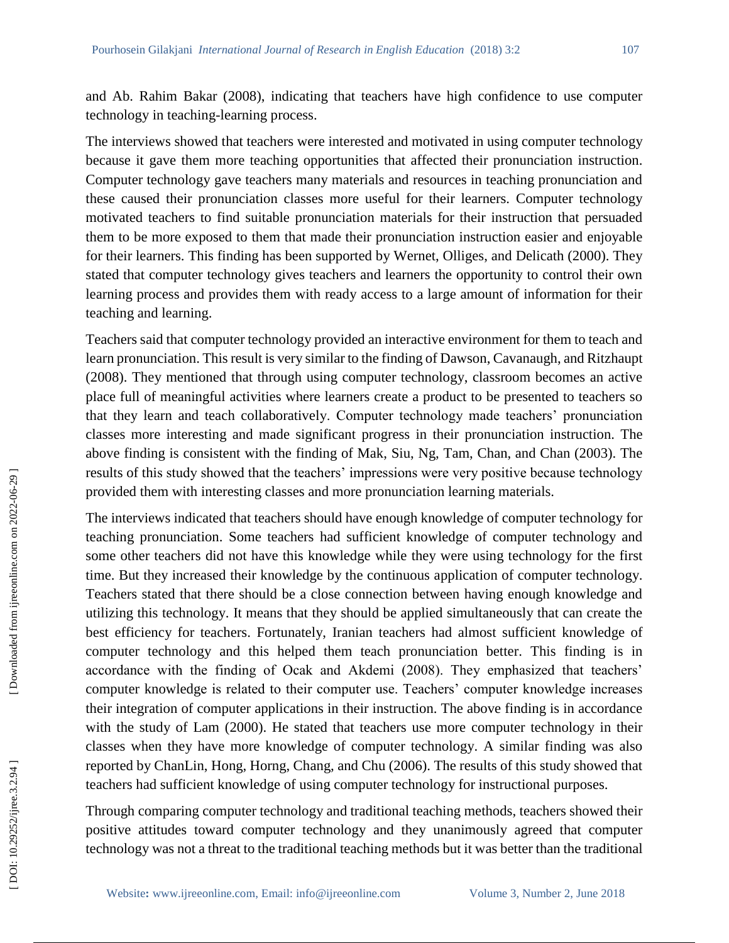and Ab. Rahim Bakar (2008), indicating that teachers have high confidence to use computer technology in teaching -learning process.

The interviews showed that teachers were interested and motivated in using computer technology because it gave them more teaching opportunities that affected their pronunciation instruction. Computer technology gave teachers many materials and resources in teaching pronunciation and these caused their pronunciation classes more useful for their learners. Computer technology motivated teachers to find suitable pronunciation materials for their instruction that persuaded them to be more exposed to them that made their pronunciation instruction easier and enjoyable for their learners. This finding has been supported by Wernet, Olliges, and Delicath (2000). They stated that computer technology gives teachers and learners the opportunity to control their own learning process and provides them with ready access to a large amount of information for their teaching and learning.

Teachers said that computer technology provided an interactive environment for them to teach and learn pronunciation. This result is very similar to the finding of Dawson, Cavanaugh, and Ritzhaupt (2008). They mentioned that through using computer technology, classroom becomes an active place full of meaningful activities where learners create a product to be presented to teachers so that they learn and teach collaboratively. Computer technology made teachers' pronunciation classes more interesting and made significant progress in their pronunciation instruction. The above finding is consistent with the finding of Mak, Siu, Ng, Tam, Chan, and Chan (2003). The results of this study showed that the teachers' impressions were very positive because technology provided them with interesting classes and more pronunciation learning materials.

The interviews indicated that teachers should have enough knowledge of computer technology for teaching pronunciation. Some teachers had sufficient knowledge of computer technology and some other teachers did not have this knowledge while they were using technology for the first time. But they increased their knowledge by the continuous application of computer technology. Teachers stated that there should be a close connection between having enough knowledge and utilizing this technology. It means that they should be applied simultaneously that can create the best efficiency for teachers. Fortunately, Iranian teachers had almost sufficient knowledge of computer technology and this helped them teach pronunciation better. This finding is in accordance with the finding of Ocak and Akdemi (2008). They emphasized that teachers' computer knowledge is related to their computer use. Teachers' computer knowledge increases their integration of computer applications in their instruction. The above finding is in accordance with the study of Lam (2000). He stated that teachers use more computer technology in their classes when they have more knowledge of computer technology. A similar finding was also reported by ChanLin, Hong, Horng, Chang, and Chu (2006). The results of this study showed that teachers had sufficient knowledge of using computer technology for instructional purposes.

Through comparing computer technology and traditional teaching methods, teachers showed their positive attitudes toward computer technology and they unanimously agreed that computer technology was not a threat to the traditional teaching methods but it was better than the traditional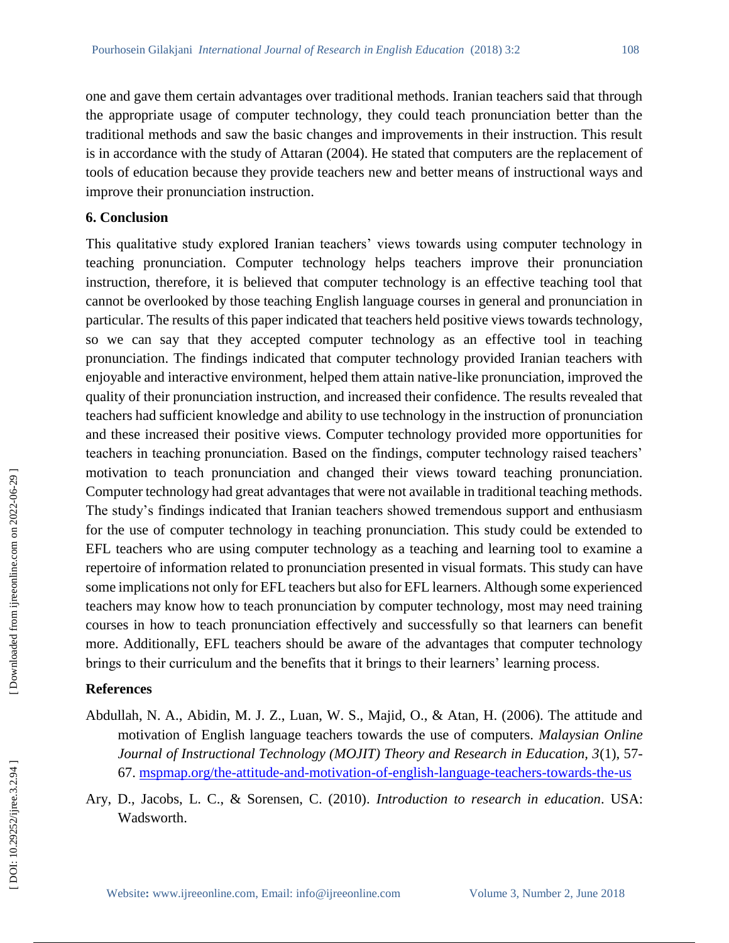one and gave them certain advantages over traditional methods. Iranian teachers said that through the appropriate usage of computer technology, they could teach pronunciation better than the traditional methods and saw the basic changes and improvements in their instruction. This result is in accordance with the study of Attaran (2004). He stated that computers are the replacement of tools of education because they provide teachers new and better means of instructional ways and improve their pronunciation instruction.

### **6. Conclusion**

This qualitative study explored Iranian teachers' views towards using computer technology in teaching pronunciation. Computer technology helps teachers improve their pronunciation instruction, therefore, it is believed that computer technology is an effective teaching tool that cannot be overlooked by those teaching English language courses in general and pronunciation in particular. The results of this paper indicated that teachers held positive views towards technology, so we can say that they accepted computer technology as an effective tool in teaching pronunciation. The findings indicated that computer technology provided Iranian teachers with enjoyable and interactive environment, helped them attain native -like pronunciation, improved the quality of their pronunciation instruction, and increased their confidence. The results revealed that teachers had sufficient knowledge and ability to use technology in the instruction of pronunciation and these increased their positive views. Computer technology provided more opportunities for teachers in teaching pronunciation. Based on the findings, computer technology raised teachers' motivation to teach pronunciation and changed their views toward teaching pronunciation. Computer technology had great advantages that were not available in traditional teaching methods. The study's findings indicated that Iranian teachers showed tremendous support and enthusiasm for the use of computer technology in teaching pronunciation. This study could be extended to EFL teachers who are using computer technology as a teaching and learning tool to examine a repertoire of information related to pronunciation presented in visual formats. This study can have some implications not only for EFL teachers but also for EFL learners. Although some experienced teachers may know how to teach pronunciation by computer technology, most may need training courses in how to teach pronunciation effectively and successfully so that learners can benefit more. Additionally, EFL teachers should be aware of the advantages that computer technology brings to their curriculum and the benefits that it brings to their learners' learning process.

# **References**

- Abdullah, N. A., Abidin, M. J. Z., Luan, W. S., Majid, O., & Atan, H. (2006). The attitude and motivation of English language teachers towards the use of computers. *Malaysian Online Journal of Instructional Technology (MOJIT) Theory and Research in Education, 3*(1), 57 67. [mspmap.org/the](http://mspmap.org/the-attitude-and-motivation-of-english-language-teachers-towards-the-use-of-computers/)-attitude-and-motivation-of-english-language-teachers-towards-the-us
- Ary, D., Jacobs, L. C., & Sorensen, C. (2010). *Introduction to research in education*. USA: Wadsworth.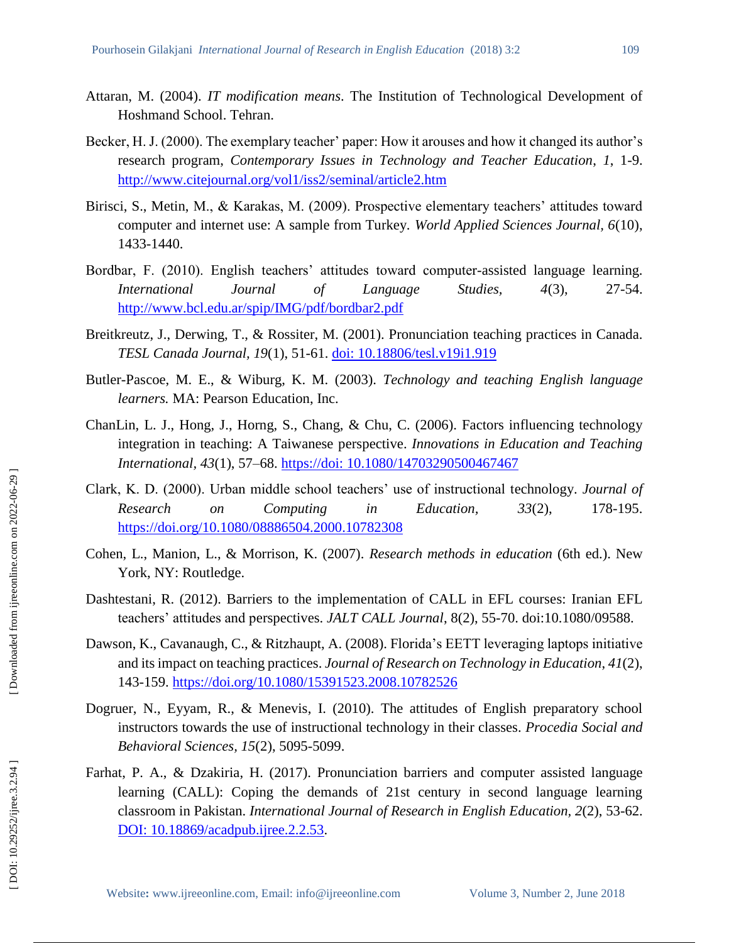- Attaran, M. (2004). *IT modification means*. The Institution of Technological Development of Hoshmand School. Tehran.
- Becker, H. J. (2000). The exemplary teacher' paper: How it arouses and how it changed its author's research program, *Contemporary Issues in Technology and Teacher Education*, *1*, 1 -9. <http://www.citejournal.org/vol1/iss2/seminal/article2.htm>
- Birisci, S., Metin, M., & Karakas, M. (2009). Prospective elementary teachers' attitudes toward computer and internet use: A sample from Turkey. *World Applied Sciences Journal, 6*(10), 1433 -1440.
- Bordbar, F. (2010). English teachers' attitudes toward computer -assisted language learning. *International Journal of Language Studies, 4(3),* 27-54. <http://www.bcl.edu.ar/spip/IMG/pdf/bordbar2.pdf>
- Breitkreutz, J., Derwing, T., & Rossiter, M. (2001). Pronunciation teaching practices in Canada. *TESL Canada Journal, 19*(1), 51 -61. [doi: 10.18806/tesl.v19i1.919](https://doi.org/10.18806/tesl.v19i1.919)
- Butler -Pascoe, M. E., & Wiburg, K. M. (2003). *Technology and teaching English language learners.* MA: Pearson Education, Inc.
- ChanLin, L. J., Hong, J., Horng, S., Chang, & Chu, C. (2006). Factors influencing technology integration in teaching: A Taiwanese perspective. *Innovations in Education and Teaching International, 43*(1), 57 –68. [https://doi: 10.1080/14703290500467467](https://doi:%2010.1080/14703290500467467)
- Clark, K. D. (2000). Urban middle school teachers' use of instructional technology. *Journal of Research* on *Computing* in *Education*, 33(2), 178-195. <https://doi.org/10.1080/08886504.2000.10782308>
- Cohen, L., Manion, L., & Morrison, K. (2007). *Research methods in education* (6th ed.). New York, NY: Routledge.
- Dashtestani, R. (2012). Barriers to the implementation of CALL in EFL courses: Iranian EFL teachers' attitudes and perspectives. *JALT CALL Journal*, 8(2), 55 -70. doi:10.1080/09588.
- Dawson, K., Cavanaugh, C., & Ritzhaupt, A. (2008). Florida's EETT leveraging laptops initiative and its impact on teaching practices. *Journal of Research on Technology in Education*, *41*(2), 143 -159.<https://doi.org/10.1080/15391523.2008.10782526>
- Dogruer, N., Eyyam, R., & Menevis, I. (2010). The attitudes of English preparatory school instructors towards the use of instructional technology in their classes. *Procedia Social and Behavioral Sciences, 15*(2), 5095 -5099.
- Farhat, P. A., & Dzakiria, H. (2017). Pronunciation barriers and computer assisted language learning (CALL): Coping the demands of 21st century in second language learning classroom in Pakistan. *International Journal of Research in English Education, 2*(2), 53 -62. [DOI: 10.18869/acadpub.ijree.2.2.53](http://dx.doi.org/10.18869/acadpub.ijree.2.2.53)

 [\[ DOI: 10.29252/ijree.3.2.94 \]](http://dx.doi.org/10.29252/ijree.3.2.94) [\[ Downloaded from ijreeonline.com on 202](https://ijreeonline.com/article-1-119-en.html)2-06-29 ]

DOI: 10.29252/ijree.3.2.94]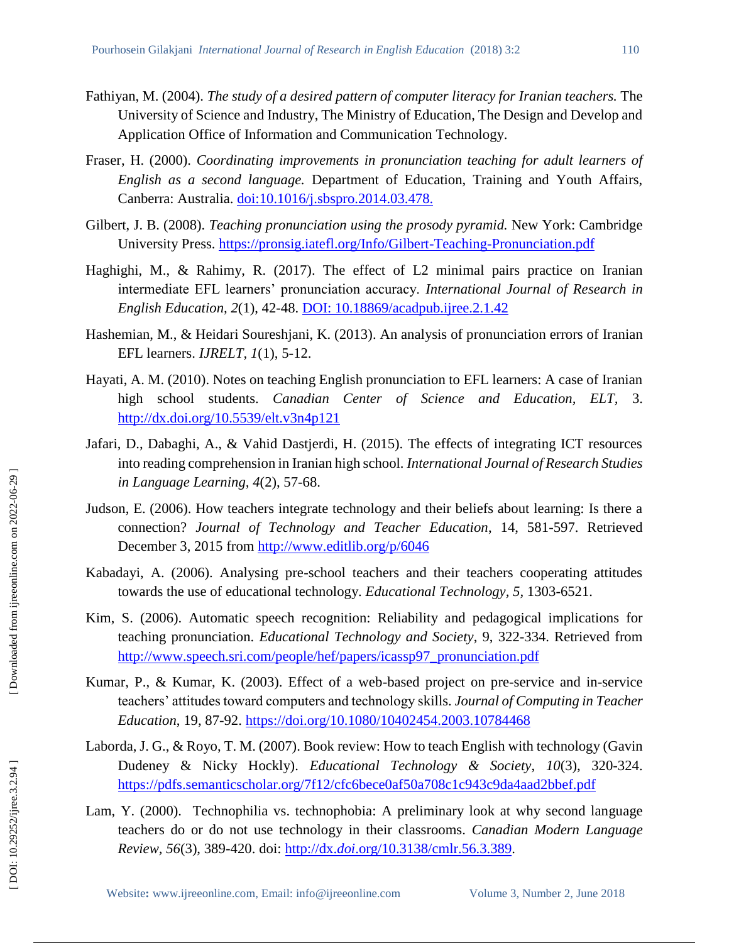- Fathiyan, M. (2004). *The study of a desired pattern of computer literacy for Iranian teachers.* The University of Science and Industry, The Ministry of Education, The Design and Develop and Application Office of Information and Communication Technology.
- Fraser, H. (2000). *Coordinating improvements in pronunciation teaching for adult learners of English as a second language.* Department of Education, Training and Youth Affairs, Canberra: Australia.<doi:10.1016/j.sbspro.2014.03.478.>
- Gilbert, J. B. (2008). *Teaching pronunciation using the prosody pyramid.* New York: Cambridge University Press. [https://pronsig.iatefl.org/Info/Gilbert](https://pronsig.iatefl.org/Info/Gilbert-Teaching-Pronunciation.pdf)-Teaching-Pronunciation.pdf
- Haghighi, M., & Rahimy, R. (2017). The effect of L2 minimal pairs practice on Iranian intermediate EFL learners' pronunciation accuracy. *International Journal of Research in English Education, 2*(1), 42 -48. [DOI: 10.18869/acadpub.ijree.2.1.42](http://dx.doi.org/10.18869/acadpub.ijree.2.1.42)
- Hashemian, M., & Heidari Soureshjani, K. (2013). An analysis of pronunciation errors of Iranian EFL learners. *IJRELT, 1*(1), 5 -12.
- Hayati, A. M. (2010). Notes on teaching English pronunciation to EFL learners: A case of Iranian high school students. *Canadian Center of Science and Education, ELT,* 3. <http://dx.doi.org/10.5539/elt.v3n4p121>
- Jafari, D., Dabaghi, A., & Vahid Dastjerdi, H. (2015). The effects of integrating ICT resources into reading comprehension in Iranian high school. *International Journal of Research Studies in Language Learning, 4*(2), 57 -68.
- Judson, E. (2006). How teachers integrate technology and their beliefs about learning: Is there a connection? *Journal of Technology and Teacher Education*, 14, 581-597. Retrieved December 3, 2015 from<http://www.editlib.org/p/6046>
- Kabadayi, A. (2006). Analysing pre -school teachers and their teachers cooperating attitudes towards the use of educational technology. *Educational Technology, 5,* 1303 -6521.
- Kim, S. (2006). Automatic speech recognition: Reliability and pedagogical implications for teaching pronunciation. *Educational Technology and Society*, 9, 322 -334. Retrieved from [http://www.speech.sri.com/people/hef/papers/icassp97\\_pronunciation.pdf](http://www.speech.sri.com/people/hef/papers/icassp97_pronunciation.pdf)
- Kumar, P., & Kumar, K. (2003). Effect of a web-based project on pre-service and in-service teachers' attitudes toward computers and technology skills. *Journal of Computing in Teacher Education*, 19, 87 -92.<https://doi.org/10.1080/10402454.2003.10784468>
- Laborda, J. G., & Royo, T. M. (2007). Book review: How to teach English with technology (Gavin Dudeney & Nicky Hockly). *Educational Technology & Society*, *10*(3), 320 -324. <https://pdfs.semanticscholar.org/7f12/cfc6bece0af50a708c1c943c9da4aad2bbef.pdf>
- Lam, Y. (2000). Technophilia vs. technophobia: A preliminary look at why second language teachers do or do not use technology in their classrooms. *Canadian Modern Language Review, 56*(3), 389 -420. doi: http://dx.*doi*[.org/10.3138/cmlr.56.3.389.](http://dx.doi.org/10.3138/cmlr.56.3.389)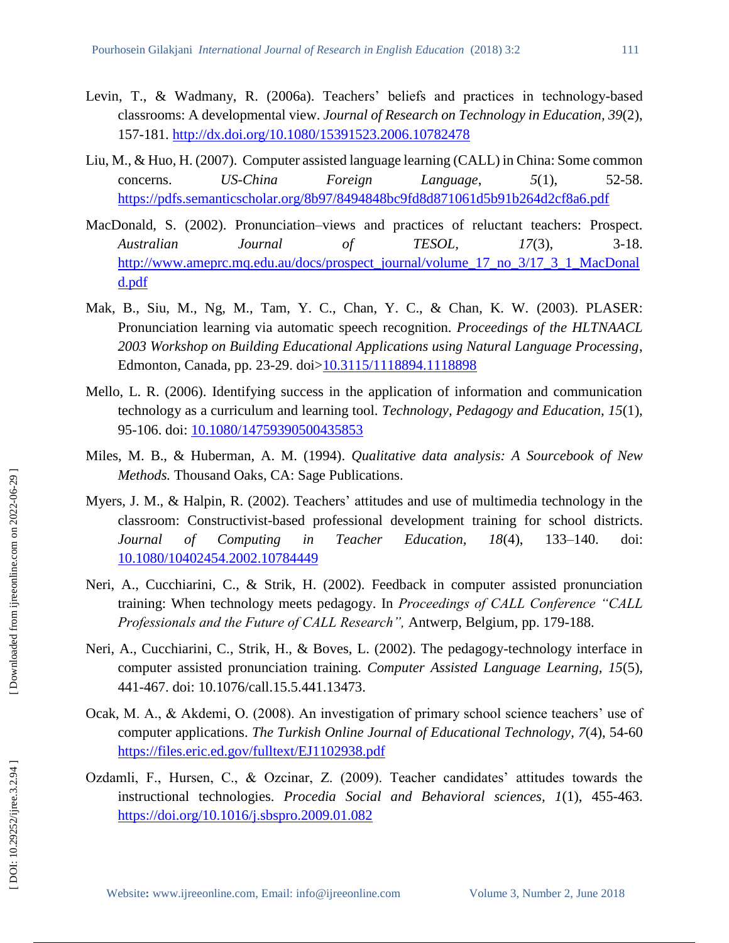- Levin, T., & Wadmany, R. (2006a). Teachers' beliefs and practices in technology -based classrooms: A developmental view. *Journal of Research on Technology in Education, 39*(2), 157 -181. [http://dx.doi.org/10.1080/15391523.2006.1078247](http://dx.doi.org/10.1080/15391523.2006.10782478) 8
- Liu, M., & Huo, H. (2007). Computer assisted language learning (CALL) in China: Some common concerns. *US-China Foreign Language*, *5*(1), 52-58. <https://pdfs.semanticscholar.org/8b97/8494848bc9fd8d871061d5b91b264d2cf8a6.pdf>
- MacDonald, S. (2002). Pronunciation–views and practices of reluctant teachers: Prospect. *Australian Journal of TESOL, 17*(3), 3 3-18. [http://www.ameprc.mq.edu.au/docs/prospect\\_journal/volume\\_17\\_no\\_3/17\\_3\\_1\\_MacDonal](http://www.ameprc.mq.edu.au/docs/prospect_journal/volume_17_no_3/17_3_1_MacDonald.pdf) [d.pdf](http://www.ameprc.mq.edu.au/docs/prospect_journal/volume_17_no_3/17_3_1_MacDonald.pdf)
- Mak, B., Siu, M., Ng, M., Tam, Y. C., Chan, Y. C., & Chan, K. W. (2003). PLASER: Pronunciation learning via automatic speech recognition. *Proceedings of the HLTNAACL 2003 Workshop on Building Educational Applications using Natural Language Processing*, Edmonton, Canada, pp. 23-29. doi[>10.3115/1118894.1118898](https://doi.org/10.3115/1118894.1118898)
- Mello, L. R. (2006). Identifying success in the application of information and communication technology as a curriculum and learning tool. *Technology, Pedagogy and Education, 15*(1), 95-106. doi: <u>10.1080/14759390500435853</u>
- Miles, M. B., & Huberman, A. M. (1994). *Qualitative data analysis: A Sourcebook of New Methods.* Thousand Oaks, CA: Sage Publications.
- Myers, J. M., & Halpin, R. (2002). Teachers' attitudes and use of multimedia technology in the classroom: Constructivist -based professional development training for school districts. *Journal of Computing in Teacher Education, 18(4),* –140. doi: [10.1080/10402454.2002.10784449](https://doi.org/10.1080/10402454.2002.10784449)
- Neri, A., Cucchiarini, C., & Strik, H. (2002). Feedback in computer assisted pronunciation training: When technology meets pedagogy. In *Proceedings of CALL Conference "CALL*  Professionals and the Future of CALL Research", Antwerp, Belgium, pp. 179-188.
- Neri, A., Cucchiarini, C., Strik, H., & Boves, L. (2002). The pedagogy-technology interface in computer assisted pronunciation training. *Computer Assisted Language Learning, 15*(5), 441 -467. doi: 10.1076/call.15.5.441.13473.
- Ocak, M. A., & Akdemi, O. (2008). An investigation of primary school science teachers' use of computer applications. *The Turkish Online Journal of Educational Technology, 7*(4), 54 -60 <https://files.eric.ed.gov/fulltext/EJ1102938.pdf>
- Ozdamli, F., Hursen, C., & Ozcinar, Z. (2009). Teacher candidates' attitudes towards the instructional technologies. *Procedia Social and Behavioral sciences, 1*(1), 455 -463. <https://doi.org/10.1016/j.sbspro.2009.01.082>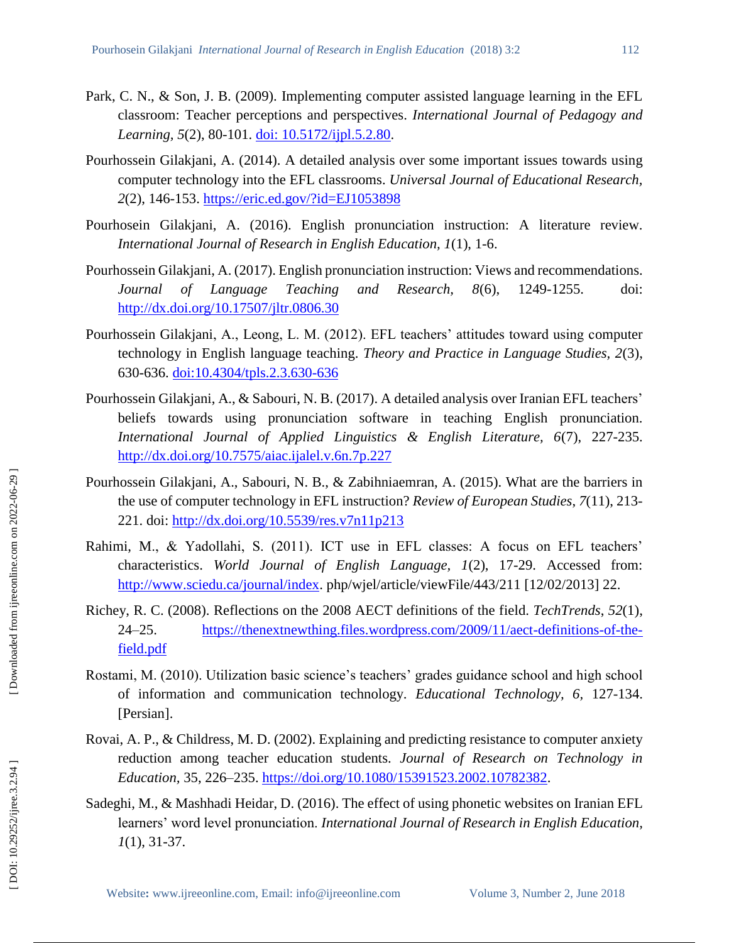- Park, C. N., & Son, J. B. (2009). Implementing computer assisted language learning in the EFL classroom: Teacher p erceptions and perspectives. *International Journal of Pedagogy and*  Learning, 5(2), 80-101. [doi: 10.5172/ijpl.5.2.80](doi:%2010.5172/ijpl.5.2.80).
- Pourhossein Gilakjani, A. (2014). A detailed analysis over some important issues towards using computer technology into the EFL classrooms. *Universal Journal of Educational Research, 2(2)*, 146-153. https://eric.ed.gov/?id=EJ1053898
- Pourhosein Gilakjani, A. (2016). English pronunciation instruction: A literature review. *International Journal of Research in English Education, 1*(1), 1 -6.
- Pourhossein Gilakjani, A. (2017). English pronunciation instruction: Views and recommendations. *Journal of Language Teaching and Research, 8(6),* -1255. doi: <http://dx.doi.org/10.17507/jltr.0806.30>
- Pourhossein Gilakjani, A., Leong, L. M. (2012). EFL teachers' attitudes toward using computer technology in English language teaching. *Theory and Practice in Language Studies, 2*(3), 630-636. <u>doi:10.4304/tpls.2.3.630-636</u>
- Pourhossein Gilakjani, A., & Sabouri, N. B. (2017). A detailed analysis over Iranian EFL teachers' beliefs towards using pronunciation software in teaching English pronunciation. *International Journal of Applied Linguistics & English Literature, 6*(7), 227 -235. <http://dx.doi.org/10.7575/aiac.ijalel.v.6n.7p.227>
- Pourhossein Gilakjani, A., Sabouri, N. B., & Zabihniaemran, A. (2015). What are the barriers in the use of computer technology in EFL instruction? *Review of European Studies*, *7*(11), 213 - 221. doi:<http://dx.doi.org/10.5539/res.v7n11p213>
- Rahimi, M., & Yadollahi, S. (2011). ICT use in EFL classes: A focus on EFL teachers' characteristics. *World Journal of English Language, 1*(2), 17-29. Accessed from: [http://www.sciedu.ca/journal/index.](http://www.sciedu.ca/journal/index) php/wjel/article/viewFile/443/211 [12/02/2013] 22.
- Richey, R. C. (2008). Reflections on the 2008 AECT definitions of the field. *TechTrends*, *52*(1),  $24 - 25$ . -25. [https://thenextnewthing.files.wordpress.com/2009/11/aect](https://thenextnewthing.files.wordpress.com/2009/11/aect-definitions-of-the-field.pdf)-definitions-of-the[field.pdf](https://thenextnewthing.files.wordpress.com/2009/11/aect-definitions-of-the-field.pdf)
- Rostami, M. (2010). Utilization basic science's teachers' grades guidance school and high school of information and communication technology. *Educational Technology, 6,* 127 -134. [Persian].
- Rovai, A. P., & Childress, M. D. (2002). Explaining and predicting resistance to computer anxiety reduction among teacher education students. *Journal of Research on Technology in*  Education, 35, 226–235. [https://doi.org/10.1080/15391523.2002.10782382.](https://doi.org/10.1080/15391523.2002.10782382)
- Sadeghi, M., & Mashhadi Heidar, D. (2016). The effect of using phonetic websites on Iranian EFL learners' word level pronunciation. *International Journal of Research in English Education, 1*(1), 31-37.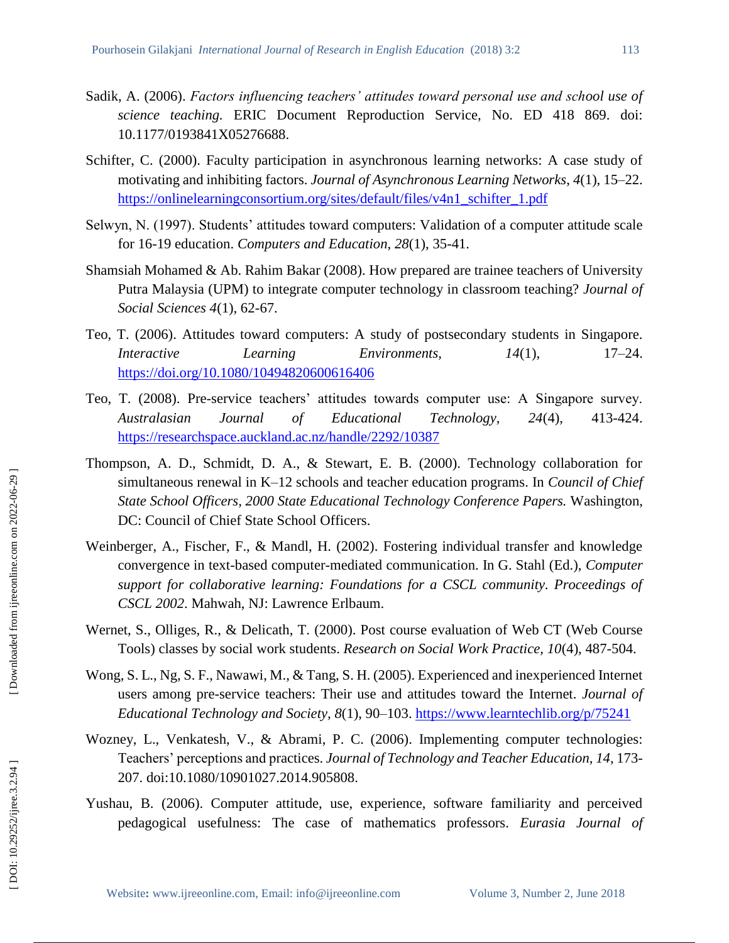- Sadik, A. (2006). *Factors influencing teachers' attitudes toward personal use and school use of science teaching.* ERIC Document Reproduction Service, No. ED 418 869. doi: 10.1177/0193841X05276688.
- Schifter, C. (2000). Faculty participation in asynchronous learning networks: A case study of motivating and inhibiting factors. *Journal of Asynchronous Learning Networks*, *4*(1), 15 –22. [https://onlinelearningconsortium.org/sites/default/files/v4n1\\_schifter\\_1.pdf](https://onlinelearningconsortium.org/sites/default/files/v4n1_schifter_1.pdf)
- Selwyn, N. (1997). Students' attitudes toward computers: Validation of a computer attitude scale for 16 -19 education. *Computers and Education*, *28*(1), 35 -41.
- Shamsiah Mohamed & Ab. Rahim Bakar (2008). How prepared are trainee teachers of University Putra Malaysia (UPM) to integrate computer technology in classroom teaching? *Journal of Social Sciences 4*(1), 62 -67.
- Teo, T. (2006). Attitudes toward computers: A study of postsecondary students in Singapore. *Interactive Learning Environments, 14(1),*  $17 - 24.$ <https://doi.org/10.1080/10494820600616406>
- Teo, T. (2008). Pre -service teachers' attitudes towards computer use: A Singapore survey. Australasian Journal of Educational Technology, 24(4), 413-424. <https://researchspace.auckland.ac.nz/handle/2292/10387>
- Thompson, A. D., Schmidt, D. A., & Stewart, E. B. (2000). Technology collaboration for simultaneous renewal in K–12 schools and teacher education programs. In *Council of Chief State School Officers, 2000 State Educational Technology Conference Papers.* Washington, DC: Council of Chief State School Officers.
- Weinberger, A., Fischer, F., & Mandl, H. (2002). Fostering individual transfer and knowledge convergence in text -based computer -mediated communication. In G. Stahl (Ed.), *Computer support for collaborative learning: Foundations for a CSCL community. Proceedings of CSCL 2002*. Mahwah, NJ: Lawrence Erlbaum.
- Wernet, S., Olliges, R., & Delicath, T. (2000). Post course evaluation of Web CT (Web Course Tools) classes by social work students. *Research on Social Work Practice, 10*(4), 487 -504.
- Wong, S. L., Ng, S. F., Nawawi, M., & Tang, S. H. (2005). Experienced and inexperienced Internet users among pre -service teachers: Their use and attitudes toward the Internet. *Journal of Educational Technology and Society, 8*(1), 90 –103.<https://www.learntechlib.org/p/75241>
- Wozney, L., Venkatesh, V., & Abrami, P. C. (2006). Implementing computer technologies: Teachers' perceptions and practices. *Journal of Technology and Teacher Education, 14,* 173 - 207. doi:10.1080/10901027.2014.905808.
- Yushau, B. (2006). Computer attitude, use, experience, software familiarity and perceived pedagogical usefulness: The case of mathematics professors. *Eurasia Journal of*